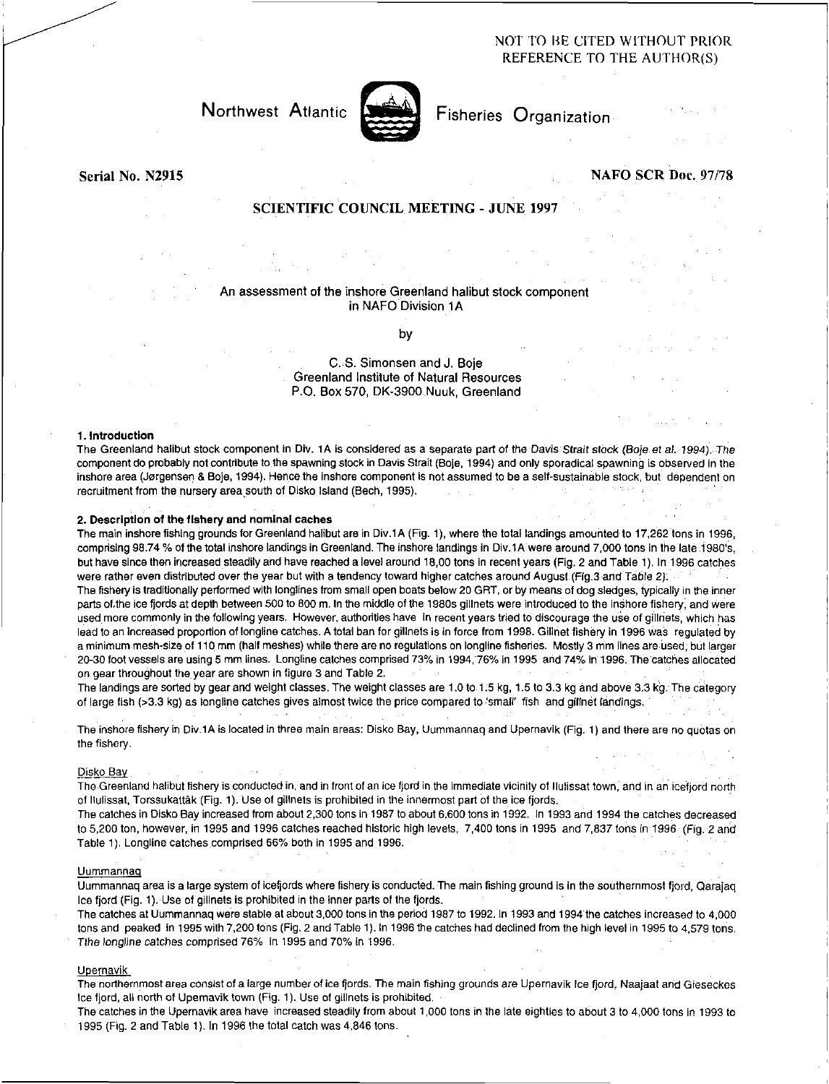# NOT TO RE CITED WITHOUT PRIOR REFERENCE TO THE AUTHOR(S)



Northwest Atlantic **Notation** Fisheries Organization

Serial No. N2915 NAFO SCR Doc. 97/78

# SCIENTIFIC COUNCIL MEETING - JUNE 1997

## An assessment of the inshore Greenland halibut stock component in NAFO Division 1A

by

C. S. Simonsen and J. Boje Greenland Institute of Natural Resources P.O. Box 570, DK-3900 Nuuk, Greenland

### 1. Introduction

The Greenland halibut stock component in Div. 1A is considered as a separate part of the Davis Strait stock *(Boje et* al. 1994). The component do probably not contribute to the spawning stock in Davis Strait (Boje, 1994) and only sporadical spawning is observed in the inshore area (Jorgensen & Boje, 1994). Hence the inshore component Is not assumed to be a self-sustainable stock, but dependent on recruitment from the nursery area south of Disko Island (Bech, 1995).

## 2. Description of the fishery and nominal caches

The main inshore fishing grounds for Greenland halibut are in Div.1A (Fig. 1), where the total landings amounted to 17,262 tons in 1996, comprising 98.74 % of the total inshore landings in Greenland. The inshore landings in Div.1A were around 7,000 tons in the late 1980's, but have since then increased steadily and have reached a level around 18,00 tons in recent years (Fig. 2 and Table 1). In 1996 catches were rather even distributed over the year but with a tendency toward higher catches around August (Fig.3 and Table 2). The fishery is traditionally performed with longlines from small open boats below 20 GRT, or by means of dog sledges, typically in the inner parts of.the ice fjords at depth between 500 to 800 m. In the middle of the 1980s gillnets were introduced to the inshore fishery, and were used more commonly in the following years. However, authorities have in recent years tried to discourage the use of gillriets, which has lead to an increased proportion of longline catches. A total ban for gillnets is in force from 1998. Gillnet fishery in 1996 was regulated by a minimum mesh-size of 110 mm (halt meshes) while there are no regulations on longline fisheries. Mostly 3 mm lines are used, but larger 20-30 foot vessels are using 5 mm lines. Longline catches comprised 73% in 1994, 76% in 1995 and 74% in 1996. The catches allocated on gear throughout the year are shown in figure 3 and Table 2.

The landings are sorted by gear and weight classes. The weight classes are 1.0 to 1.5 kg, 1.5 to 3.3 kg and above 3.3 kg. The category of large fish (>3.3 kg) as longline catches gives almost twice the price compared to 'small' fish and gilinet landings.

The inshore fishery in Div.1A is located in three main areas: Disko Bay, Uummannaq and Upernavik (Fig. 1) and there are no quotas on the fishery.

#### Disko Bay .

The Greenland halibut fishery is conducted in, and in front of an ice fjord in the immediate vicinity of Ilulissat town, and in an icefjord north of Ilulissat, Torssukattak (Fig. 1). Use of gillnets is prohibited in the innermost part of the ice fjords.

The catches in Disko Bay increased from about 2,300 tons in 1987 to about 6,600 tons in 1992. In 1993 and 1994 the catches decreased to 5,200 ton, however, in 1995 and 1996 catches reached historic high levels, 7,400 tons in 1995 and 7,837 tons in 1996 (Fig. 2 and Table 1). Longline catches comprised 66% both in 1995 and 1996.

#### Uummannaq

Uummannaq area is a large system of icefjords where fishery is conducted. The main fishing ground is in the southernmost fjord, Qarajaq Ice fjord (Fig. 1). Use of gillnets is prohibited in the inner parts of the fjords.

The catches at Uummannaq were stable at about 3,000 tons in the period 1987 to 1992. In 1993 and 1994 the catches increased to 4,000 tons and peaked in 1995 with 7,200 tons (Fig. 2 and Table 1). In 1996 the catches had declined from the high level in 1995 to 4,579 tons. Tthe *longline* catches comprised 76% in 1995 and 70% in 1996.

## Upemavik

The northernmost area consist of a large number of ice fjords. The main fishing grounds are Upernavik Ice fjord, Naajaat and Gieseckes Ice fjord, all north of Upernavik town (Fig. 1). Use of gillnets is prohibited.

The catches in the Upernavik area have increased steadily from about 1,000 tons in the late eighties to about 3 to 4,000 tons in 1993 to 1995 (Fig. 2 and Table 1). In 1996 the total catch was 4,846 tons.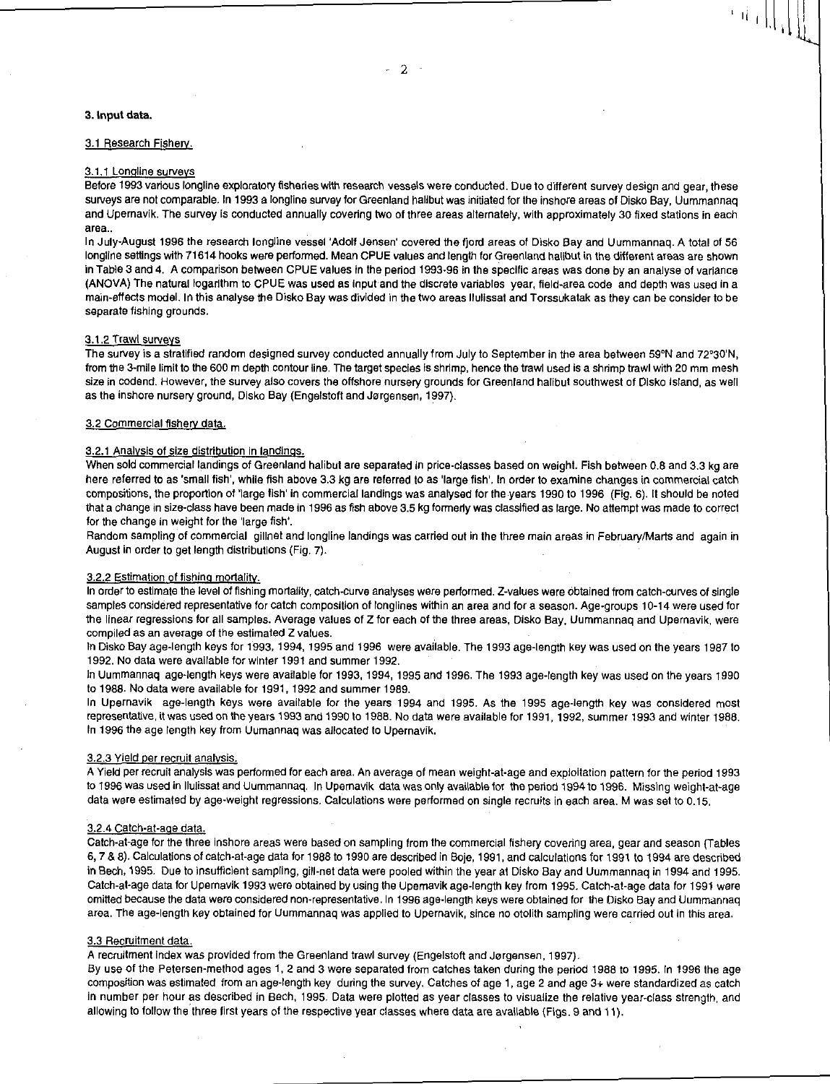### 3. Input data.

#### 3.1 Research Fishery.

## 3.1.1 Longline surveys

Before 1993 various longline exploratory fisheries with research vessels were conducted. Due to different survey design and gear, these surveys are not comparable. In 1993 a longline survey for Greenland halibut was initiated for the inshore areas of Disko Bay, Uummannaq and Upernavik. The survey is conducted annually covering two of three areas alternately, with approximately 30 fixed stations in each area..

In July-August 1996 the research longline vessel 'Adolf Jensen' covered the fjord areas of Disko Bay and Uummannaq. A total of 56 longline settings with 71614 hooks were performed. Mean CPUE values and length for Greenland halibut in the different areas are shown in Table 3 and 4. A comparison between CPUE values in the period 1993-96 In the specific areas was done by an analyse of variance (ANOVA) The natural logarithm to CPUE was used as input and the discrete variables year, field-area code and depth was used in a main-effects model. In this analyse the Disko Bay was divided in the two areas Ilulissat and Torssukatak as they can be consider to be separate fishing grounds.

## 3.1.2 Trawl surveys

The survey is a stratified random designed survey conducted annually from July to September in the area between 59°N and 72°30'N, from the 3-mile limit to the 600 m depth contour line. The target species is shrimp, hence the trawl used is a shrimp trawl with 20 mm mesh size in codend. However, the survey also covers the offshore nursery grounds for Greenland halibut southwest of Disko Island, as well as the inshore nursery ground, Disko Bay (Engelstoft and Jorgensen, 1997).

## 3.2 Commercial fishery data.

#### 3.2.1 Analysis of size distribution In landings.

When sold commercial landings of Greenland halibut are separated in price-classes based on weight. Fish between 0.8 and 3.3 kg are here referred to as 'small fish', while fish above 3.3 kg are referred to as 'large fish', In order to examine changes in commercial catch compositions, the proportion of 'large fish' in commercial landings was analysed for the years 1990 to 1996 (Fig. 6). It should be noted that a change in size-class have been made in 1996 as fish above 3.5 kg formerly was classified as large. No attempt was made to correct for the change in weight for the 'large fish'.

Random sampling of commercial gillnet and longline landings was carried out in the three main areas in February/Marts and again in August in order to get length distributions (Fig. 7).

#### 3.2.2 Estimation of fishing mortality.

In order to estimate the level of fishing mortality, catch-curve analyses were performed. Z-values were obtained from catch-curves of single samples considered representative for catch composition of longlines within an area and for a season. Age-groups 10-14 were used for the linear regressions for all samples. Average values of Z for each of the three areas, Disko Bay, Uummannaq and Upernavik, were compiled as an average of the estimated Z values.

In Disko Bay age-length keys for 1993, 1994, 1995 and 1996 were available. The 1993 age-length key was used on the years 1987 to 1992. No data were available for winter 1991 and summer 1992.

In Uummannaq age-length keys were available for 1993, 1994, 1995 and 1996. The 1993 age-length key was used on the years 1990 to 1988. No data were available for 1991, 1992 and summer 1989.

In Upernavik age-length keys were available for the years 1994 and 1995. As the 1995 age-length key was considered most representative, it was used on the years 1993 and 1990 to 1988. No data were available for 1991, 1992, summer 1993 and winter 1988. In 1996 the age length key from Uumannaq was allocated to Upernavik.

### 3.2.3 Yield per recruit analysis.

A Yield per recruit analysis was performed for each area. An average of mean weight-at-age and exploitation pattern for the period 1993 to 1996 was used in Ilulissat and Uummannaq. In Upemavik data was only available for the period 1994 to 1996. Missing weight-at-age data were estimated by age-weight regressions. Calculations were performed on single recruits in each area. M was set to 0.15.

#### 3.2.4 Catch-at-age data.

Catch-at-age for the three inshore areas were based on sampling from the commercial fishery covering area, gear and season (Tables 6, 7 & 8). Calculations of catch-at-age data for 1988 to 1990 are described in Bole, 1991, and calculations for 1991 to 1994 are described in Bech, 1995. Due to insufficient sampling, gill-net data were pooled within the year at Disko Bay and Uummannaq in 1994 and 1995. Catch-at-age data for Upemavik 1993 were obtained by using the Upemavik age-length key from 1995. Catch-at-age data for 1991 were omitted because the data were considered non-representative. In 1996 age-length keys were obtained for the Disko Bay and Uummannaq area. The age-length key obtained for Uummannaq was applied to Upernavik, since no otolith sampling were carried out in this area.

### 3.3 Recruitment data.

A recruitment index was provided from the Greenland trawl survey (Engelstoft and Jorgensen, 1997).

By use of the Petersen-method ages 1, 2 and 3 were separated from catches taken during the period 1988 to 1995. In 1996 the age composition was estimated from an age-length key during the survey. Catches of age 1, age 2 and age 3+ were standardized as catch in number per hour as described in Bech, 1995. Data were plotted as year classes to visualize the relative year-class strength, and allowing to follow the three first years of the respective year classes where data are available (Figs. 9 and 11).

- 2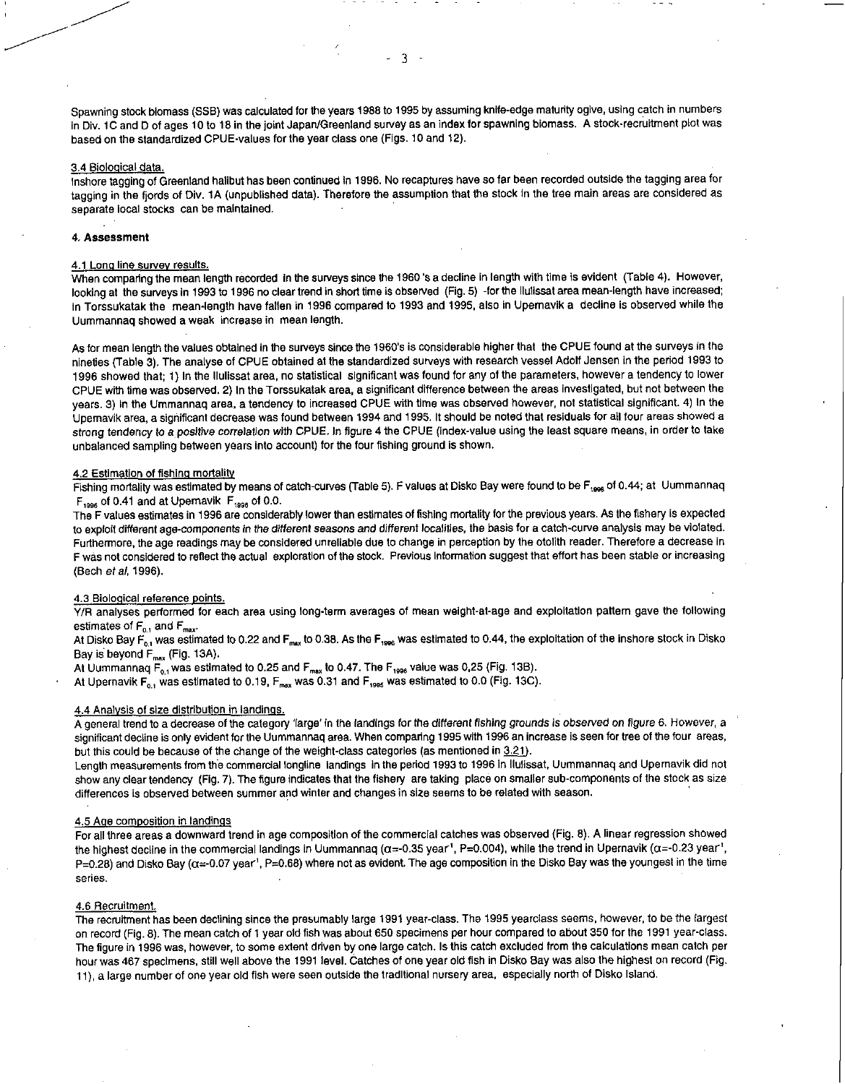Spawning stock biomass (SSB) was calculated for the years 1988 to 1995 by assuming knife-edge maturity ogive, using catch in numbers in Div. 1C and D of ages 10 to 18 in the joint Japan/Greenland survey as an index for spawning biomass. A stock-recruitment plot was based on the standardized CPUE-values for the year class one (Figs. 10 and 12).

### 3.4 Biological data.

Inshore tagging of Greenland halibut has been continued in 1996. No recaptures have so far been recorded outside the tagging area for tagging in the fjords of Div. 1A (unpublished data). Therefore the assumption that the stock in the tree main areas are considered as separate local stocks can be maintained.

## 4. Assessment

## 4.1 Long line survey results.

When comparing the mean length recorded in the surveys since the 1960's a decline in length with time is evident (Table 4). However, looking at the surveys in 1993 to 1996 no clear trend In short time is observed (Fig. 5) -for the Ilulissat area mean-length have increased; in Torssukatak the mean-length have fallen in 1996 compared to 1993 and 1995, also in Upemavik a decline is observed while the Uummannaq showed a weak increase in mean length.

As for mean length the values obtained In the surveys since the 1960's is considerable higher that the CPUE found at the surveys in the nineties (Table 3). The analyse of CPUE obtained at the standardized surveys with research vessel Adolf Jensen in the period 1993 to 1996 showed that; 1) In the Ilulissat area, no statistical significant was found for any of the parameters, however a tendency to lower CPUE with time was observed 2) In the Torssukatak area, a significant difference between the areas investigated, but not between the years. 3) In the Ummannaq area, a tendency to increased CPUE with time was observed however, not statistical significant. 4) In the Upemavik area, a significant decrease was found between 1994 and 1995. It should be noted that residuals for all four areas showed a strong tendency *to* a *positive correlation* with CPUE. In figure 4 the CPUE (index-value using the least square means, in order to take unbalanced sampling between years into account) for the four fishing ground is shown.

#### 4.2 Estimation of fishing mortality

Fishing mortality was estimated by means of catch-curves (Table 5). F values at Disko Bay were found to be F<sub>1996</sub> of 0.44; at Uummannaq  $F_{1996}$  of 0.41 and at Upernavik  $F_{1996}$  of 0.0.

The F values estimates in 1996 are considerably lower than estimates of fishing mortality for the previous years. As the fishery is expected to exploit different age-components *in the different seasons* and different localities, the basis for a catch-curve analysis may be violated. Furthermore, the age readings may be considered unreliable due to change in perception by the otolith reader. Therefore a decrease in F was not considered to reflect the actual exploration of the stock. Previous Information suggest that effort has been stable or increasing (Bech *et al,* 1996).

### 4.3 Biological reference points.

Y/R analyses performed for each area using long-term averages of mean weight-at-age and exploitation pattern gave the following estimates of  $F_{0.1}$  and  $F_{\text{max}}$ .

At Disko Bay  $F_{0,1}$  was estimated to 0.22 and  $F_{max}$  to 0.38. As the  $F_{1996}$  was estimated to 0.44, the exploitation of the inshore stock in Disko Bay is beyond  $F_{max}$  (Fig. 13A).

At Uummannag  $F_{0,1}$  was estimated to 0.25 and  $F_{\text{max}}$  to 0.47. The  $F_{\text{1996}}$  value was 0,25 (Fig. 13B).

At Upernavik  $F_{0,1}$  was estimated to 0.19,  $F_{\text{max}}$  was 0.31 and  $F_{1995}$  was estimated to 0.0 (Fig. 13C).

## 4.4 Analysis of size distribution in landings.

A general trend to a decrease of the category 'large' in the landings for the different *fishing grounds is observed on figure* 6. However, a significant decline is only evident for the Uummannaq area. When comparing 1995 with 1996 an increase is seen for tree of the four areas, but this could be because of the change of the weight-class categories (as mentioned in 3.21).

Length measurements from the commercial longline landings In the period 1993 to 1996 In Ilulissat, Uummannaq and Upernavik did not show any clear tendency (Fig. 7). The figure indicates that the fishery are taking place on smaller sub-components of the stock as size differences is observed between summer and winter and changes in size seems to be related with season.

#### 4.5 Age composition in landings

For all three areas a downward trend in age composition of the commercial catches was observed (Fig. 8). A linear regression showed the highest decline in the commercial landings in Uummannaq ( $\alpha$ =-0.35 year<sup>'</sup>, P=0.004), while the trend in Upernavik ( $\alpha$ =-0.23 year<sup>'</sup>, P=0.28) and Disko Bay ( $\alpha$ =-0.07 year<sup>1</sup>, P=0.68) where not as evident. The age composition in the Disko Bay was the youngest in the time series.

### 4.6 Recruitment.

The recruitment has been declining since the presumably large 1991 year-class. The 1995 yearclass seems, however, to be the largest on record (Fig. 8). The mean catch of 1 year old fish was about 650 specimens per hour compared to about 350 for the 1991 year-class. The figure in 1996 was, however, to some extent driven by one large catch. Is this catch excluded from the calculations mean catch per hour was 467 specimens, still well above the 1991 level. Catches of one year old fish in Disko Bay was also the highest on record (Fig. 11), a large number of one year old fish were seen outside the traditional nursery area, especially north of Disko Island.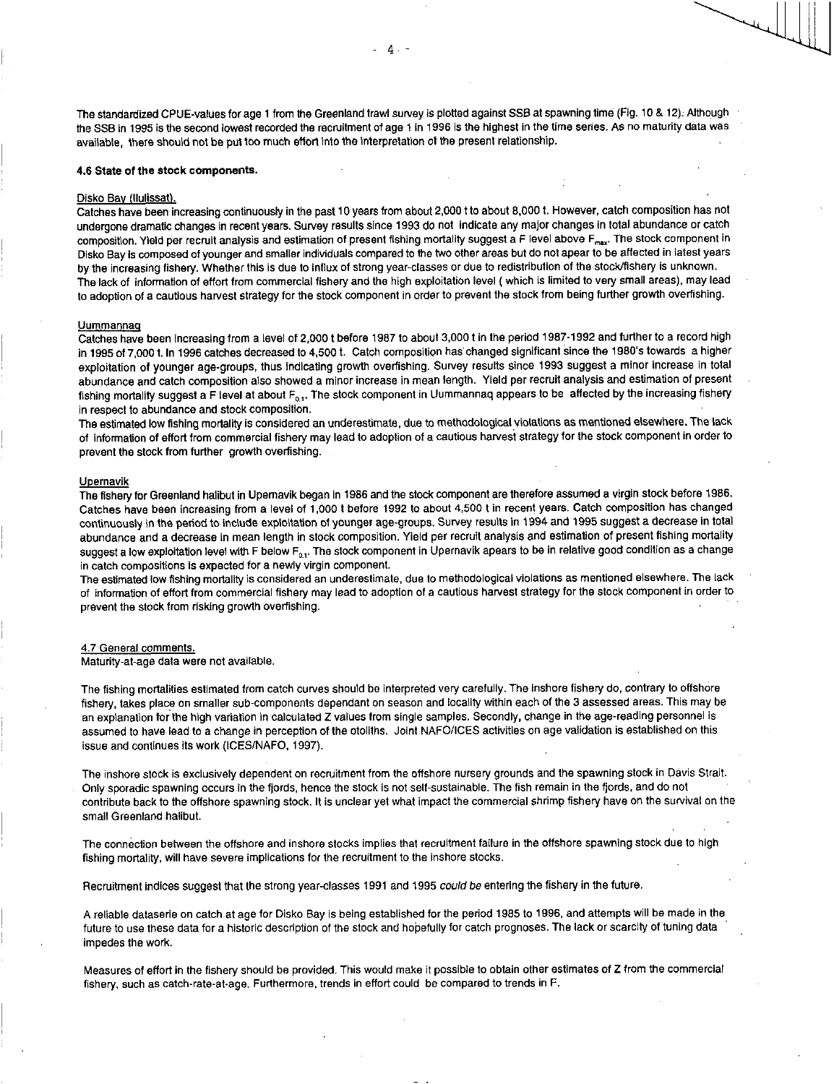The standardized CPUE-values for age **1** from the Greenland trawl survey is plotted against SSB at spawning time (Fig. 10 & 12): Although the SSB in 1995 is the second lowest recorded the recruitment of age 1 in 1996 is the highest in the time series. As no maturity data was available, there should not be put too much effort into the interpretation of the present relationship.

### **4.6 State of the stock components.**

#### Disko Bay (Ilulissat).

Catches have been increasing continuously in the past 10 years from about 2,000 t to about 8,000 t. However, catch composition has not undergone dramatic changes in recent years. Survey results since 1993 do not indicate any major changes in total abundance or catch composition. Yield per recruit analysis and estimation of present fishing mortality suggest a F level above F<sub>max</sub>. The stock component in Disko Bay is composed of younger and smaller individuals compared to the two other areas but do not apear to be affected in latest years by the increasing fishery. Whether this is due to Influx of strong year-classes or due to redistribution of the stock/fishery is unknown. The lack of information of effort from commercial fishery and the high exploitation level ( which Is limited to very small areas), may lead to adoption of a cautious harvest strategy for the stock component in order to prevent the stock from being further growth overfishing.

#### Uummannag

Catches have been increasing from a level of 2,000 t before 1987 to about 3,000 t in the period 1987-1992 and further to a record high in 1995 of 7,000 t. In 1996 catches decreased to 4,500 t. Catch composition has changed significant since the 1980's towards a higher exploitation of younger age-groups, thus indicating growth overfishing. Survey results since 1993 suggest a minor increase in total abundance and catch composition also showed a minor increase in mean length. Yield per recruit analysis and estimation of present fishing mortality suggest a F level at about  $F_{0,1}$ . The stock component in Uummannaq appears to be affected by the increasing fishery in respect to abundance and stock composition.

The estimated low fishing mortality is considered an underestimate, due to methodological violations as mentioned elsewhere. The lack of information of effort from commercial fishery may lead to adoption of a cautious harvest strategy for the stock component in order to prevent the stock from further growth overfishing.

#### Upernavik

The fishery for Greenland halibut in Upemavik began in 1986 and the stock component are therefore assumed a virgin stock before 1986. Catches have been increasing from a level of 1,000 t before 1992 to about 4,500 t in recent years. Catch composition has changed continuously In the period to Include exploitation of younger age-groups. Survey results in 1994 and 1995 suggest a decrease in total abundance and a decrease in mean length in stock composition. Yield per recruit analysis and estimation of present fishing mortality suggest a low exploitation level with F below  $F_{0,1}$ . The stock component in Upernavik apears to be in relative good condition as a change in catch compositions is expected for a newly virgin component.

The estimated low fishing mortality is considered an underestimate, due to methodological violations as mentioned elsewhere. The lack of information of effort from commercial fishery may lead to adoption of a cautious harvest strategy for the stock component in order to prevent the stock from risking growth overfishing.

#### 4.7 General comments.

Maturity-at-age data were not available.

The fishing mortalities estimated from catch curves should be interpreted very carefully. The inshore fishery do, contrary to offshore fishery, takes place on smaller sub-components dependant on season and locality within each of the 3 assessed areas. This may be an explanation for the high variation in calculated Z values from single samples. Secondly, change in the age-reading personnel is assumed to have lead to a change in perception of the otoliths. Joint NAFO/ICES activities on age validation is established on this issue and continues its work (ICES/NAFO, 1997).

The inshore stock is exclusively dependent on recruitment from the offshore nursery grounds and the spawning stock in Davis Strait. Only sporadic spawning occurs in the fjords, hence the stock is not self-sustainable. The fish remain in the fjords, and do not contribute back to the offshore spawning stock. It is unclear yet what impact the commercial shrimp fishery have on the survival on the small Greenland halibut.

The connection between the offshore and inshore stocks implies that recruitment failure in the offshore spawning stock due to high fishing mortality, will have severe implications for the recruitment to the inshore stocks.

Recruitment indices suggest that the strong year-classes 1991 and 1995 *could be* entering the fishery in the future.

A reliable dataserie on catch at age for Disko Bay is being established for the period 1985 to 1996, and attempts will be made in the future to use these data for a historic description of the stock and hopefully for catch prognoses. The lack or scarcity of tuning data impedes the work.

Measures of effort in the fishery should be provided. This would make it possible to obtain other estimates of Z from the commercial fishery, such as catch-rate-at-age. Furthermore, trends in effort could *be* compared to trends in F.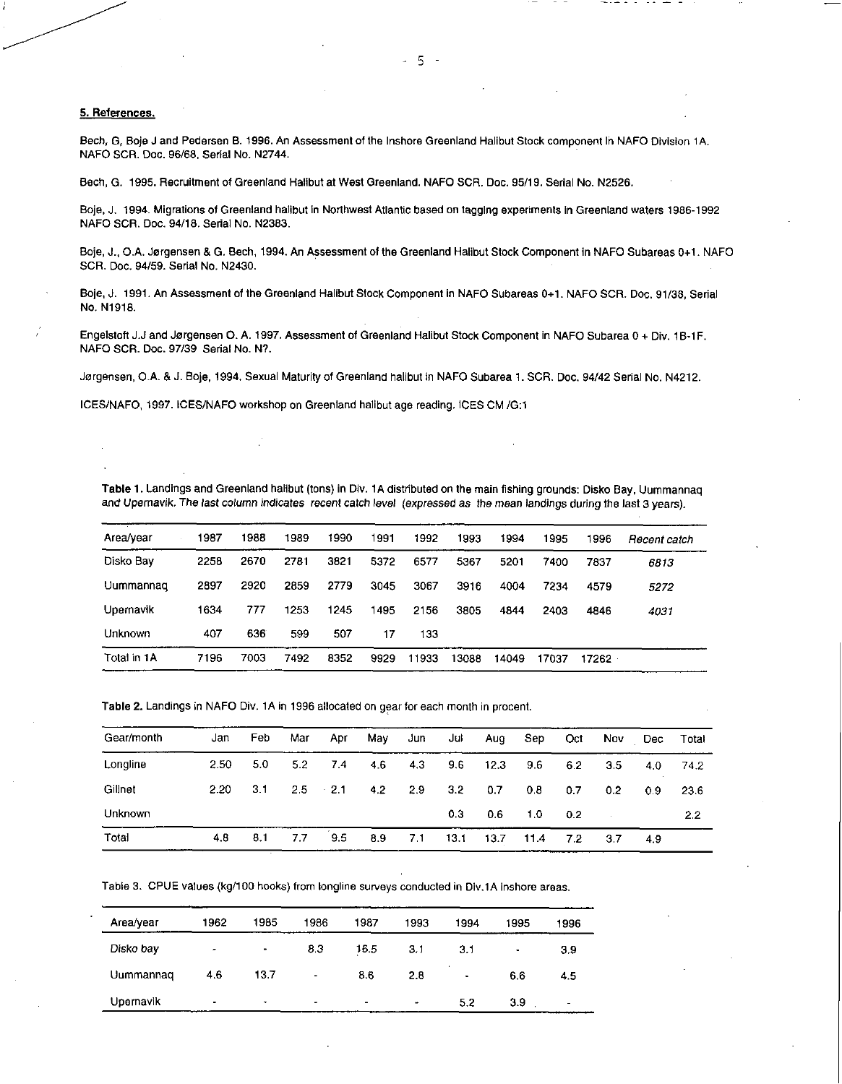## 5. References.

Bech, G, Boje J and Pedersen B. 1996. An Assessment of the Inshore Greenland Halibut Stock component In NAFO Division 1A. NAFO SCR. Doc. 96/68, Serial No. N2744.

Bech, G. 1995. Recruitment of Greenland Halibut at West Greenland. NAFO SCR. Doc. 95/19. Serial No. N2526.

Boje, J. 1994. Migrations of Greenland halibut in Northwest Atlantic based on tagging experiments in Greenland waters 1986-1992 NAFO SCR. Doc. 94/18. Serial No. N2383,

Boje, J., O.A. Jorgensen & G. Bech, 1994. An Assessment of the Greenland Halibut Stock Component in NAFO Subareas 0+1 NAFO SCR. Doc. 94/59. Serial No. N2430.

Boje, J. 1991. An Assessment of the Greenland Halibut Stock Component In NAFO Subareas 0+1. NAFO SCR. Doc. 91/38, Serial No. N1918.

Engelstoft J.J and Jorgensen 0. A. 1997. Assessment of Greenland Halibut Stock Component in NAFO Subarea 0 + Div. 1B-1F. NAFO SCR. Doc. 97/39 Serial No. N?.

Jorgensen, O.A. & J. Boje, 1994. Sexual Maturity of Greenland halibut in NAFO Subarea 1. SCR. Doc. 94/42 Serial No. N4212.

ICES/NAFO, 1997. ICES/NAFO workshop on Greenland halibut age reading. ICES CM /G:1

Table 1. Landings and Greenland halibut (tons) in Div. 1A distributed on the main fishing grounds: Disko Bay, Uummannaq and Upernavik. The last column indicates recent catch level (expressed as the mean landings during the last 3 years).

| Area/year   | 1987 | 1988 | 1989 | 1990 | 1991 | 1992  | 1993  | 1994  | 1995  | 1996  | Recent catch |
|-------------|------|------|------|------|------|-------|-------|-------|-------|-------|--------------|
| Disko Bay   | 2258 | 2670 | 2781 | 3821 | 5372 | 6577  | 5367  | 5201  | 7400  | 7837  | 6813         |
| Uummannaq   | 2897 | 2920 | 2859 | 2779 | 3045 | 3067  | 3916  | 4004  | 7234  | 4579  | 5272         |
| Upernavik   | 1634 | 777  | 1253 | 1245 | 1495 | 2156  | 3805  | 4844  | 2403  | 4846  | 4031         |
| Unknown     | 407  | 636  | 599  | 507  | 17   | 133   |       |       |       |       |              |
| Total in 1A | 7196 | 7003 | 7492 | 8352 | 9929 | 11933 | 13088 | 14049 | 17037 | 17262 |              |

Table 2. Landings in NAFO Div. 1A in 1996 allocated on gear for each month in procent.

| Gear/month | Jan  | Feb | Mar              | Apr         | May | Jun | Jul              | Aug  | Sep. | Oct | Nov.             | Dec. | Total |
|------------|------|-----|------------------|-------------|-----|-----|------------------|------|------|-----|------------------|------|-------|
| Longline   | 2.50 | 5.0 | 5.2 <sub>1</sub> | 7.4         | 4.6 | 4.3 | 9.6              | 12.3 | 9.6  | 6.2 | 3.5              | 4.0  | 74.2  |
| Gillnet    | 2.20 | 3.1 |                  | $2.5 - 2.1$ | 4.2 | 2.9 | 3.2 <sub>1</sub> | 0.7  | 0.8  | 0.7 | 0.2 <sub>0</sub> | 0.9  | 23.6  |
| Unknown    |      |     |                  |             |     |     | 0.3 <sub>1</sub> | 0.6  | 1.0  | 0.2 |                  |      | 2.2   |
| Total      | 4.8  | 8.1 | 7.7              | 9.5         | 8.9 | 7,1 | 13.1             | 13.7 | 11.4 | 7.2 | 3.7              | 4.9  |       |

Table 3. CPUE values (kg/100 hooks) from longline surveys conducted in Div.1A inshore areas.

| Area/year | 1962           | 1985                     | 1986                                 | 1987   | 1993      | 1994      | 1995 | 1996           |
|-----------|----------------|--------------------------|--------------------------------------|--------|-----------|-----------|------|----------------|
| Disko bay |                | $\bullet$                | 8.3                                  | 16.5   | 3.1       | 3.1       | ٠    | 3.9            |
| Uummannaq | 4.6            | 13.7                     | $\overline{\phantom{0}}$             | 8.6    | 2.8       | $\bullet$ | 6.6  | 4.5            |
| Upernavik | $\blacksquare$ | $\overline{\phantom{a}}$ | $\overline{\phantom{a}}$<br>________ | $\sim$ | $\bullet$ | 5.2       | 3.9  | $\blacksquare$ |

- 5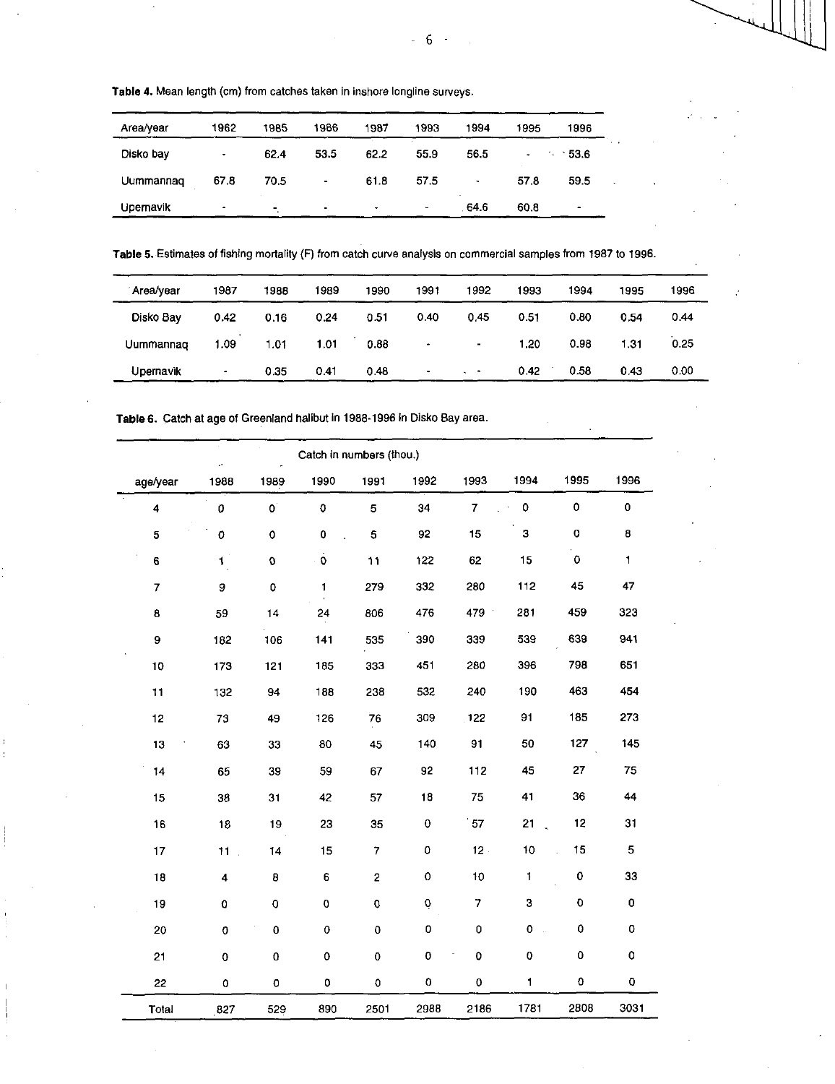**Table 4.** Mean length (cm) from catches taken in inshore longline surveys.

| Area/year | 1962                | 1985 | 1986           | 1987 | 1993 | 1994 | 1995 | 1996          |  |
|-----------|---------------------|------|----------------|------|------|------|------|---------------|--|
| Disko bay | $\bullet$           | 62.4 | 53.5           | 62.2 | 55.9 | 56.5 | ٠    | $-53.6$<br>٠. |  |
| Uummannag | 67.8                | 70.5 | $\blacksquare$ | 61.8 | 57.5 | ٠    | 57.8 | 59.5          |  |
| Upernavik | $\hat{\phantom{a}}$ |      |                |      | ٠    | 64.6 | 60.8 | ۰             |  |

Table 5. Estimates of fishing mortality (F) from catch curve analysis on commercial samples from 1987 to 1996.

| Area/year | 1987 | 1988 | 1989 | 1990 | 1991                  | 1992                  | 1993 | 1994 | 1995 | 1996 |
|-----------|------|------|------|------|-----------------------|-----------------------|------|------|------|------|
| Disko Bay | 0.42 | 0.16 | 0.24 | 0.51 | 0.40                  | 0.45                  | 0.51 | 0.80 | 0.54 | 0.44 |
| Uummannag | 1.09 | 1.01 | 1.01 | 0.88 | $\tilde{\phantom{a}}$ | $\blacksquare$        | 1.20 | 0.98 | 1.31 | 0.25 |
| Upernavik | ٠    | 0.35 | 0.41 | 0.48 | $\bullet$             | $\Delta \phi = 0.001$ | 0.42 | 0.58 | 0.43 | 0.00 |

**Table 6.** Catch at age of Greenland halibut in 1988-1996 in Disko Bay area.

|          |                    |                        |                   | Catch in numbers (thou.) |             |                    |              |                    |                    |
|----------|--------------------|------------------------|-------------------|--------------------------|-------------|--------------------|--------------|--------------------|--------------------|
| age/year | 1988               | 1989                   | 1990              | 1991                     | 1992        | 1993               | 1994         | 1995               | 1996               |
| 4        | $\mathfrak{o}$     | $\mathbf{O}^{\dagger}$ | 0                 | 5                        | 34          | 7                  | $\mathbf 0$  | $\pmb{\mathsf{O}}$ | $\bf{0}$           |
| 5        | $\pmb{\mathsf{O}}$ | $\circ$                | 0                 | 5                        | 92          | 15                 | 3            | $\pmb{\mathsf{O}}$ | 8                  |
| 6        | $\mathbf{1}$       | $\pmb{\mathsf{O}}$     | $\ddot{\text{o}}$ | 11                       | 122         | 62                 | 15           | $\mathbf 0$        | $\mathbf{1}$       |
| 7        | 9                  | $\mathbf 0$            | 1                 | 279                      | 332         | 280                | 112          | 45                 | 47                 |
| 8        | 59                 | 14                     | 24                | 806                      | 476         | 479                | 281          | 459                | 323                |
| 9        | 182                | 106                    | 141               | 535                      | 390         | 339                | 539          | 639                | 941                |
| 10       | 173                | 121                    | 185               | 333                      | 451         | 280                | 396          | 798                | 651                |
| 11       | 132                | 94                     | 188               | 238                      | 532         | 240                | 190          | 463                | 454                |
| 12       | 73                 | 49                     | 126               | 76                       | 309         | 122                | 91           | 185                | 273                |
| 13       | 63                 | 33                     | 80                | 45                       | 140         | 91                 | 50           | 127                | 145                |
| 14       | 65                 | 39                     | 59                | 67                       | 92          | 112                | 45           | 27                 | 75                 |
| 15       | 38                 | 31                     | 42                | 57                       | 18          | 75                 | 41           | 36                 | 44                 |
| 16       | 18                 | 19                     | 23                | 35                       | $\pmb{0}$   | 57                 | 21           | 12                 | 31                 |
| 17       | $11$ .             | 14                     | 15                | 7                        | $\mathbf 0$ | $12 -$             | 10           | 15                 | 5                  |
| 18       | 4                  | 8                      | 6                 | $\mathbf 2$              | $\mathbf 0$ | 10                 | $\mathbf{I}$ | 0                  | 33                 |
| 19       | $\mathbf 0$        | 0                      | ${\bf 0}$         | $\mathbf 0$              | $\mathbf 0$ | $\overline{7}$     | З            | 0                  | 0                  |
| 20       | 0                  | 0                      | 0                 | 0                        | 0           | 0                  | 0<br>ù.      | 0                  | 0                  |
| 21       | 0                  | 0                      | 0                 | 0                        | $\pmb{0}$   | $\mathbf 0$        | O            | 0                  | $\pmb{\mathsf{O}}$ |
| 22       | 0                  | 0                      | 0                 | $\mathbf 0$              | 0           | $\pmb{\mathsf{O}}$ | $\mathbf{1}$ | 0                  | 0                  |
| Total    | 827                | 529                    | 890               | 2501                     | 2988        | 2186               | 1781         | 2808               | 3031               |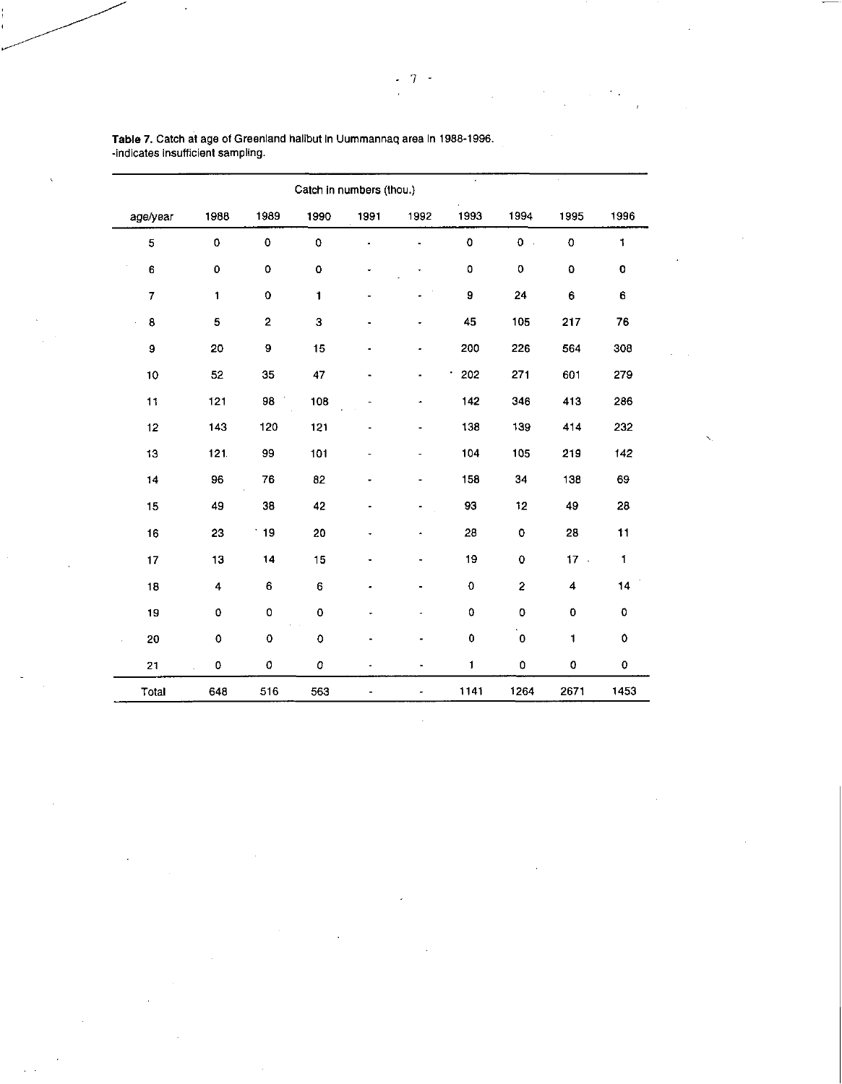|                |                    |                    | Catch in numbers (thou.) |                |                          |              |                         |                    |                    |
|----------------|--------------------|--------------------|--------------------------|----------------|--------------------------|--------------|-------------------------|--------------------|--------------------|
| age/year       | 1988               | 1989               | 1990                     | 1991           | 1992                     | 1993         | 1994                    | 1995               | 1996               |
| 5              | $\pmb{\mathsf{o}}$ | $\pmb{\mathsf{O}}$ | $\mathbf 0$              |                | $\blacksquare$           | 0            | 0<br>$\bar{\alpha}$     | $\mathbf C$        | $\mathbf{1}$       |
| 6              | $\pmb{0}$          | 0                  | $\mathbf 0$              |                |                          | 0            | $\pmb{\mathsf{O}}$      | $\pmb{\mathsf{O}}$ | $\pmb{\mathsf{o}}$ |
| $\overline{7}$ | 1                  | $\mathbf 0$        | $\blacksquare$           |                |                          | 9            | 24                      | 6                  | 6                  |
| 8<br>à.        | 5                  | $\overline{2}$     | 3                        |                |                          | 45           | 105                     | 217                | 76                 |
| 9              | 20                 | 9                  | 15                       |                |                          | 200          | 226                     | 564                | 308                |
| 10             | 52                 | 35                 | 47                       | $\blacksquare$ |                          | 202          | 271                     | 601                | 279                |
| 11             | 121                | 98                 | 108                      |                | ۰                        | 142          | 346                     | 413                | 286                |
| 12             | 143                | 120                | 121                      |                | ۰                        | 138          | 139                     | 414                | 232                |
| 13             | 121.               | 99                 | 101                      | ٠              | $\overline{\phantom{a}}$ | 104          | 105                     | 219                | 142                |
| 14             | 96                 | 76                 | 82                       |                | ٠                        | 158          | 34                      | 138                | 69                 |
| 15             | 49                 | 38                 | 42                       |                |                          | 93           | 12                      | 49                 | 28                 |
| 16             | 23                 | 19                 | 20                       | ۰              | $\ddot{\phantom{0}}$     | 28           | $\pmb{0}$               | 28                 | 11                 |
| 17             | 13                 | 14                 | 15                       |                | ٠                        | 19           | $\bf{0}$                | $17 -$             | $\blacksquare$     |
| 18             | 4                  | 6                  | 6                        |                |                          | 0            | $\overline{\mathbf{c}}$ | 4                  | 14                 |
| 19             | o                  | o                  | $\pmb{0}$                |                |                          | 0            | 0                       | 0                  | $\mathbf 0$        |
| 20             | $\circ$            | 0                  | $\mathbf 0$              |                |                          | 0            | $\pmb{0}$               | $\blacksquare$     | 0                  |
| 21             | $\pmb{\mathsf{O}}$ | 0                  | 0                        |                | $\blacksquare$           | $\mathbf{1}$ | 0                       | $\pmb{\mathsf{O}}$ | 0                  |
| Total          | 648                | 516                | 563                      |                |                          | 1141         | 1264                    | 2671               | 1453               |

Table 7. Catch at age of Greenland halibut In Uummannaq area In 1988-1996. -indicates insufficient sampling.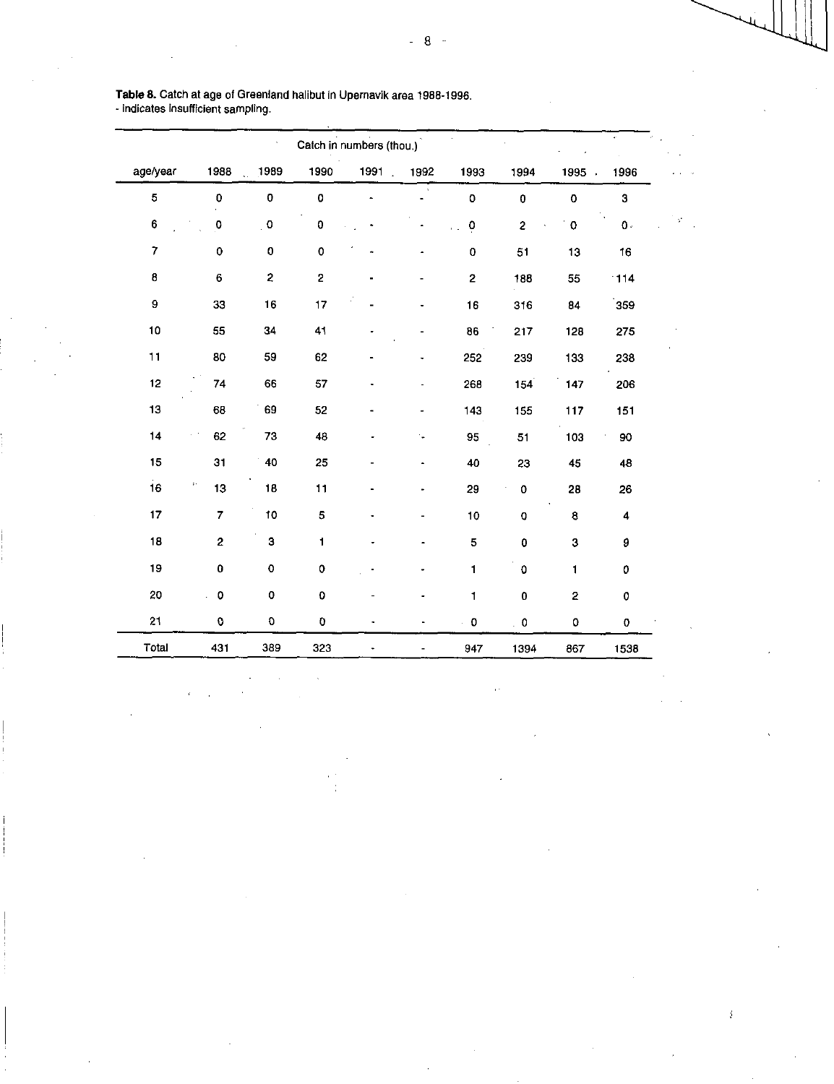|                         |                            |                      | Catch in numbers (thou.) |      |      |                      |                         |                    |                    |
|-------------------------|----------------------------|----------------------|--------------------------|------|------|----------------------|-------------------------|--------------------|--------------------|
| age/year                | 1988                       | 1989<br>$\mathbf{r}$ | 1990                     | 1991 | 1992 | 1993                 | 1994                    | 1995               | 1996               |
| 5                       | 0                          | $\pmb{0}$            | $\mathbf 0$              |      |      | $\mathbf 0$          | $\mathbf 0$             | $\pmb{\mathsf{O}}$ | 3                  |
| 6                       | 0                          | $\pmb{\mathsf{O}}$   | 0                        |      |      | ö                    | $\overline{\mathbf{c}}$ | $\pmb{\mathsf{O}}$ | $\mathbf{0}$       |
| $\overline{\mathbf{7}}$ | 0                          | $\mathbf 0$          | $\pmb{\mathsf{O}}$       |      |      | 0                    | 51                      | 13                 | 16                 |
| 8                       | 6                          | 2                    | $\overline{\mathbf{c}}$  |      |      | $\mathbf{2}$         | 188                     | 55                 | 114                |
| $\mathbf 9$             | 33                         | 16                   | 17                       |      |      | 16                   | 316                     | 84                 | 359                |
| 10                      | 55                         | 34                   | 41                       |      |      | 86                   | 217                     | 128                | 275                |
| $11$                    | 80                         | 59                   | 62                       |      |      | 252                  | 239                     | 133                | 238                |
| 12                      | 74                         | 66                   | 57                       |      |      | 268                  | 154                     | 147                | 206                |
| 13                      | 68                         | 69                   | 52                       |      |      | 143                  | 155                     | 117                | 151                |
| 14                      | 62                         | 73                   | 48                       |      | u,   | 95                   | 51                      | 103                | 90                 |
| 15                      | 31                         | 40                   | 25                       |      |      | 40                   | 23                      | 45                 | 48                 |
| 16                      | $\ddot{\phantom{0}}$<br>13 | 18                   | 11                       |      |      | 29                   | $\mathbf 0$             | 28                 | 26                 |
| 17                      | 7                          | 10                   | 5                        |      |      | 10                   | $\mathbf 0$             | $\bf{8}$           | 4                  |
| 18                      | $\overline{\mathbf{c}}$    | 3                    | 1                        |      |      | 5                    | 0                       | 3                  | 9                  |
| 19                      | 0                          | $\pmb{\mathsf{o}}$   | $\circ$                  |      |      | $\mathbf{1}$         | $\mathbf 0$             | 1                  | 0                  |
| 20                      | 0                          | $\pmb{0}$            | $\mathbf 0$              |      |      | $\mathbf{1}$         | O                       | $\mathbf 2$        | $\pmb{\mathsf{O}}$ |
| 21                      | 0                          | O                    | O                        |      |      | $\ddot{\phantom{0}}$ | $\ddot{\phantom{0}}$ 0  | 0                  | 0                  |
| Total                   | 431                        | 389                  | 323                      |      |      | 947                  | 1394                    | 867                | 1538               |

Table 8. Catch at age of Greenland halibut In Upernavik area 1988-1996. - indicates Insufficient sampling.

÷,

 $\hat{i}$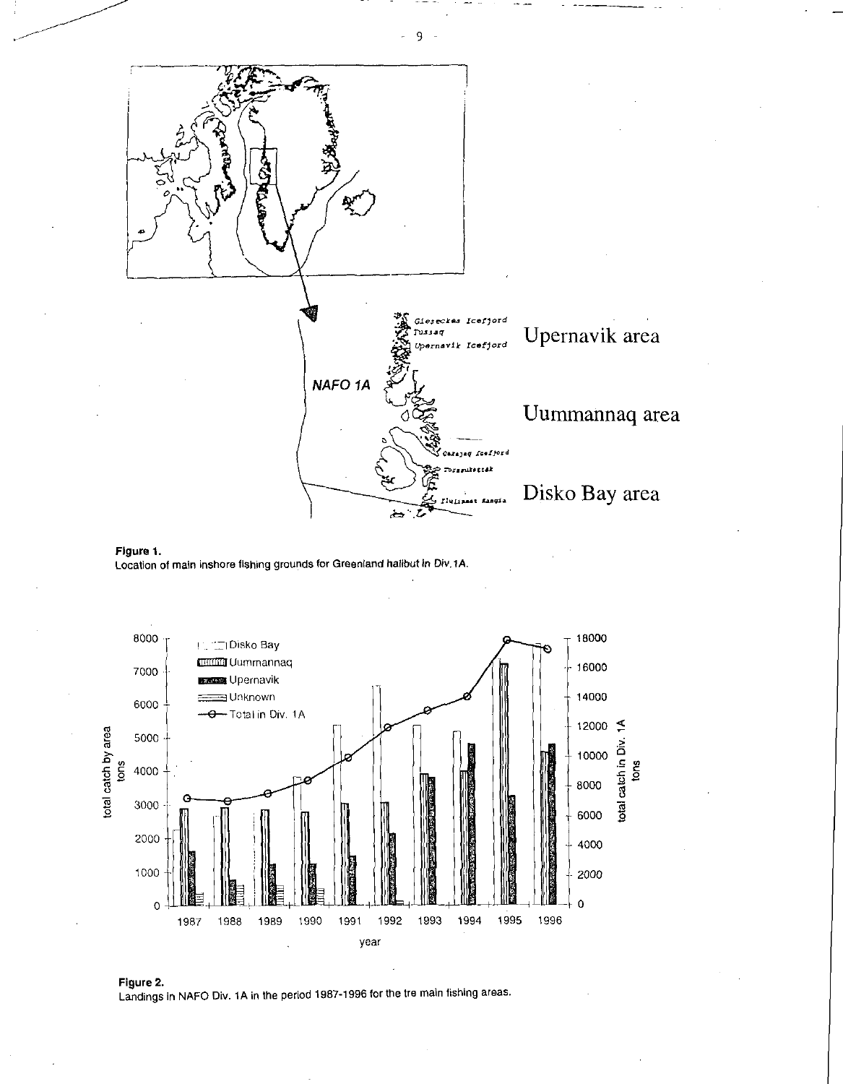





Figure 2. Landings in NAFO Div. 1A in the period 1987-1996 for the tre main fishing areas.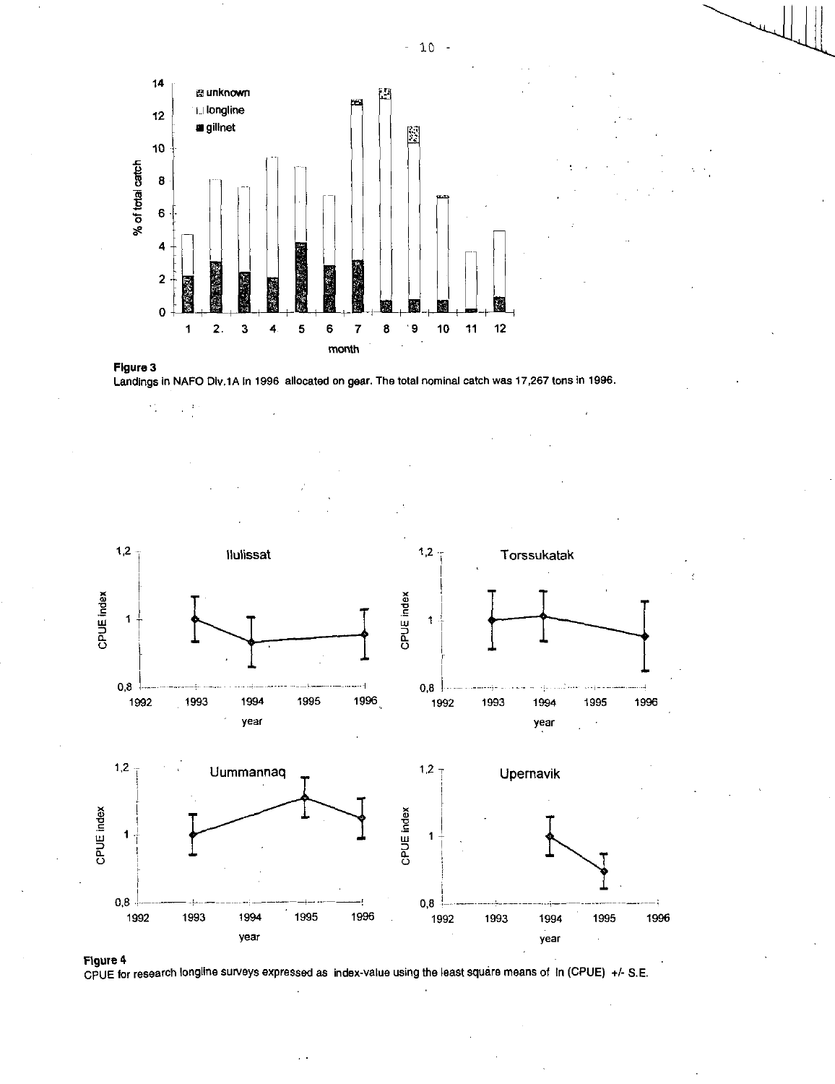







 $\mathcal{L}_{\mathcal{A}}^{\mathcal{A}}$ 

 $\frac{3}{2}$ 

CPUE for research longline surveys expressed as index-value using the least square means of In (CPUE) +/- S.E.

 $-10 -$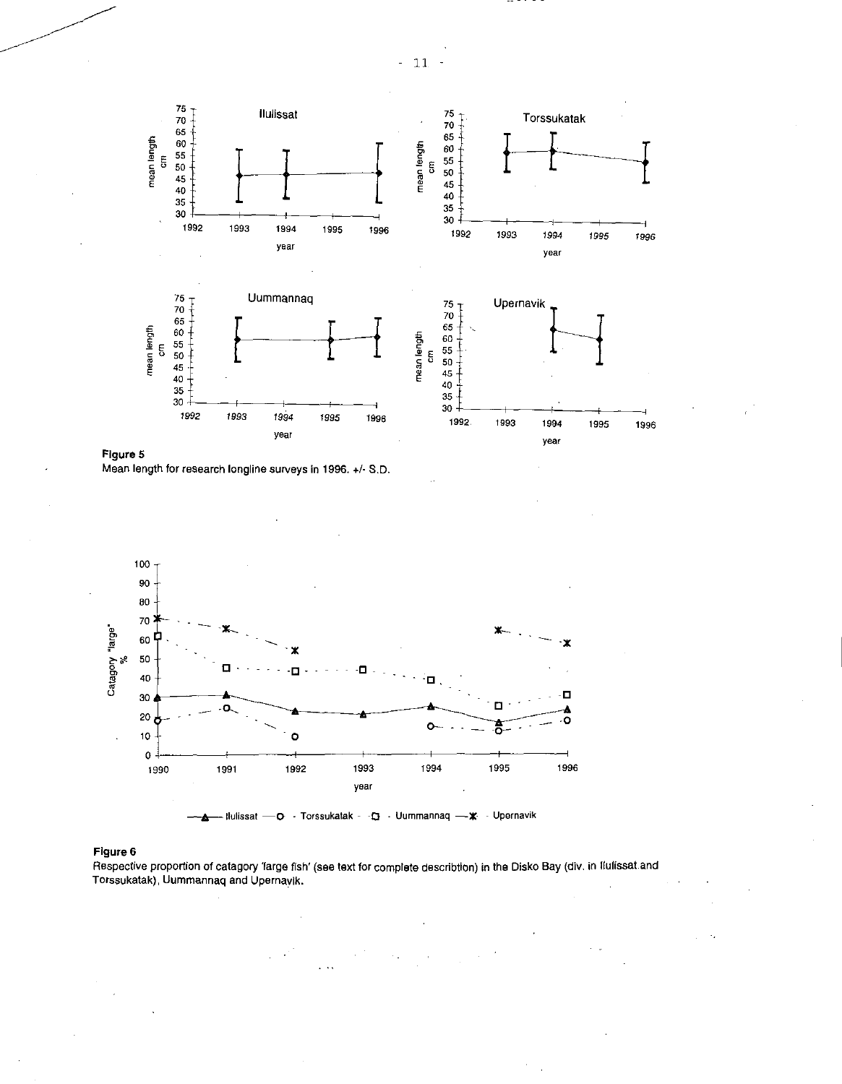

Figure 5 Mean length for research longline surveys in 1996. +1- S.D.



# Figure 6

Respective proportion of catagory large fish' (see text for complete describtion) in the Disko Bay (div. in Ilulissat and Torssukatak), Uummannaq and Upernavik.

 $11$  $\overline{a}$  $\frac{1}{\sqrt{2}}$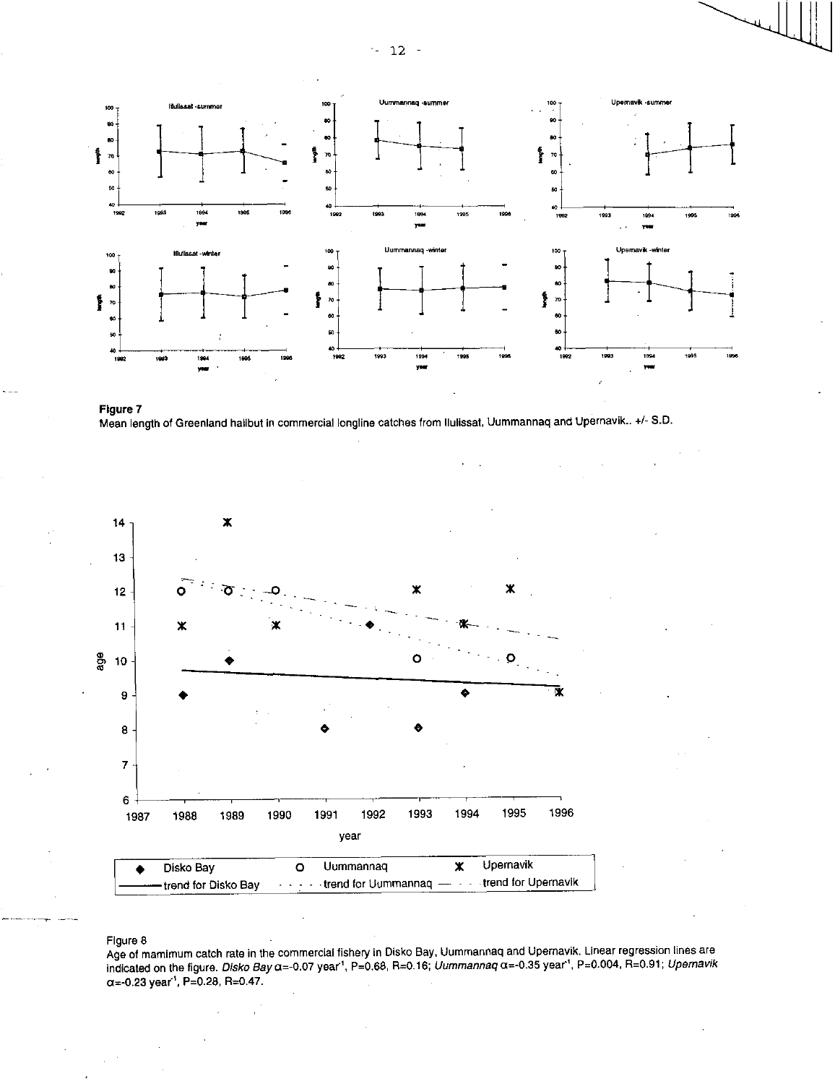$-12 -$ 







# Figure 8

Age of mamimum catch rate in the commercial fishery in Disko Bay, Uummannaq and Upernavik. Linear regression lines are indicated on the figure. *Disko Bay* a=-0.07 year', P=0.68, R=0.16; *Uummannaq* a=-035 year', P=0.004, R=0.91; *Upernavik*   $\alpha$ =-0.23 year<sup>1</sup>, P=0.28, R=0.47.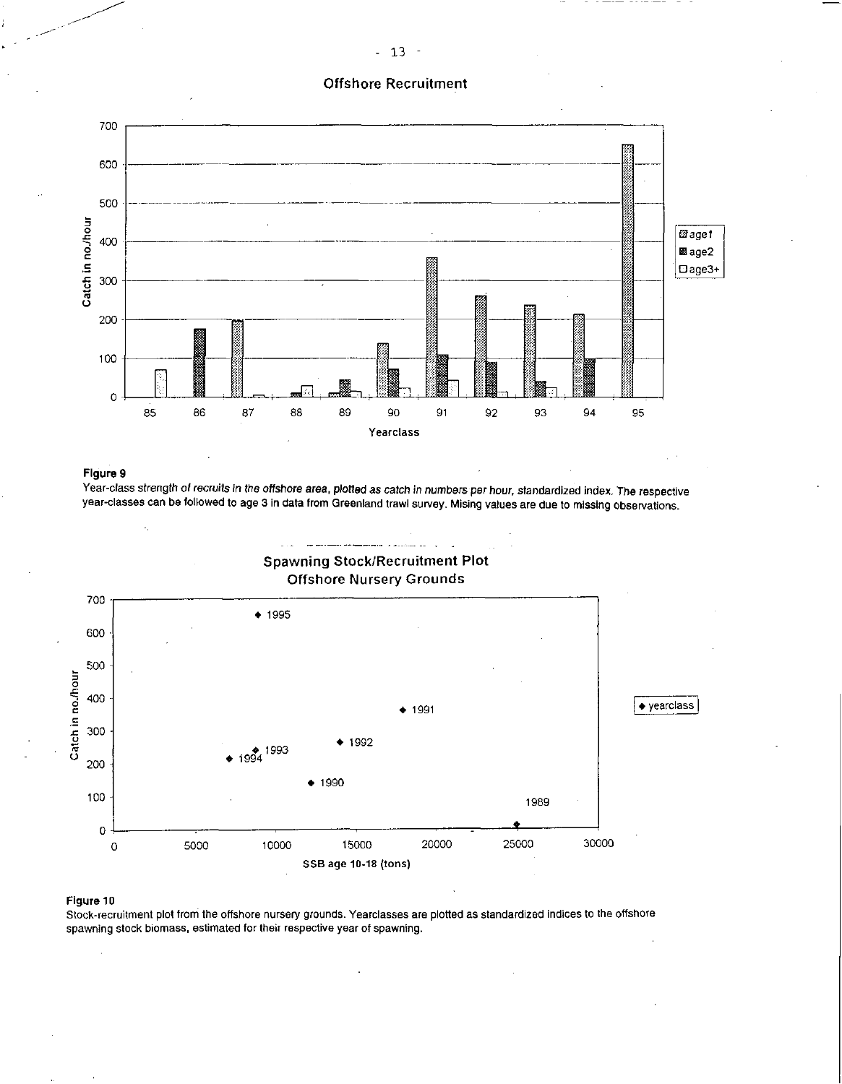# Offshore Recruitment



# Figure 9

Year-class strength *of recruits in the offshore area, plotted as* catch *in numbers* per hour, standardized index. The respective year-classes can be followed to age 3 in data from Greenland trawl survey. Mising values are due to missing observations.



## Figure 10

Stock-recruitment plot from the offshore nursery grounds. Yearclasses are plotted as standardized indices to the offshore spawning stock biomass, estimated for their respective year of spawning.

# - 13 -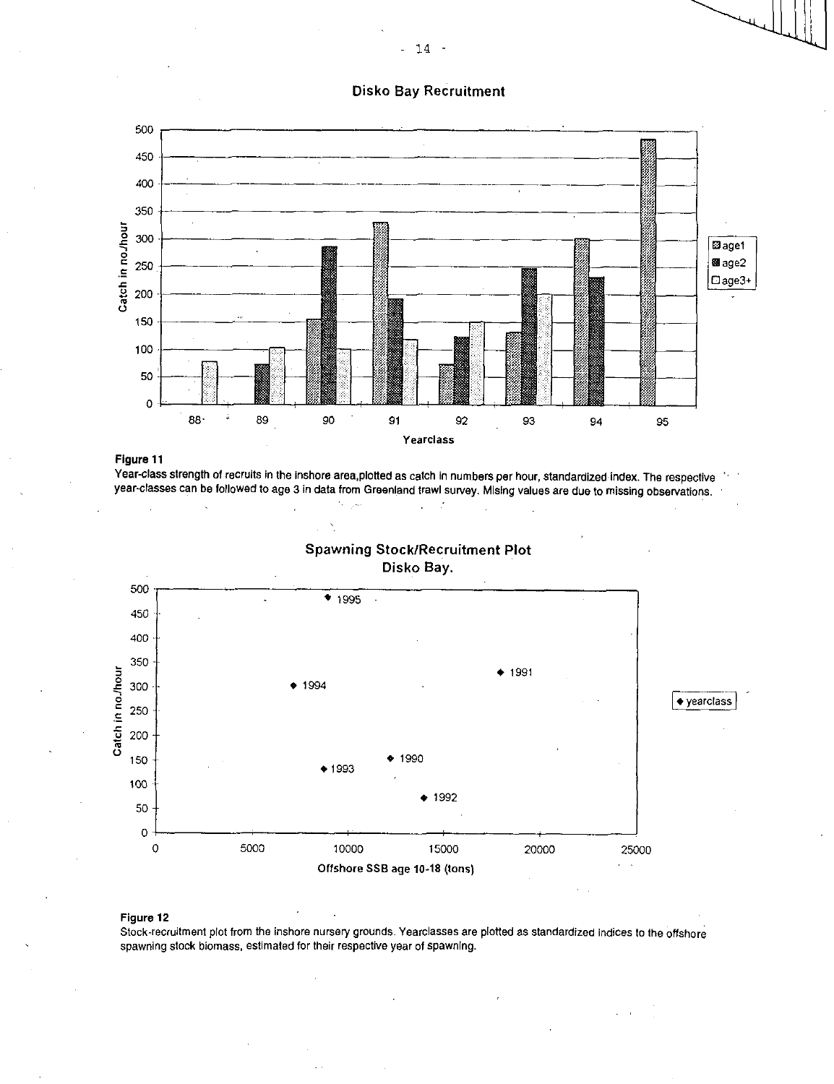# Disko Bay Recruitment



**Figure** 11

Year-class strength of recruits in the inshore area,plotted as catch in numbers per hour, standardized index. The respective year-classes can be followed to age 3 in data from Greenland trawl survey. Mising values are due to missing observations.  $\mathcal{C}_{\mathcal{C}}$  ,  $\mathcal{C}_{\mathcal{C}}$  $\sim 10^6$ 





# **Figure 12**

Stock-recruitment plot from the inshore nursery grounds. Yearclasses are plotted as standardized indices to the offshore spawning stock biomass, estimated for their respective year of spawning.

- 14 -